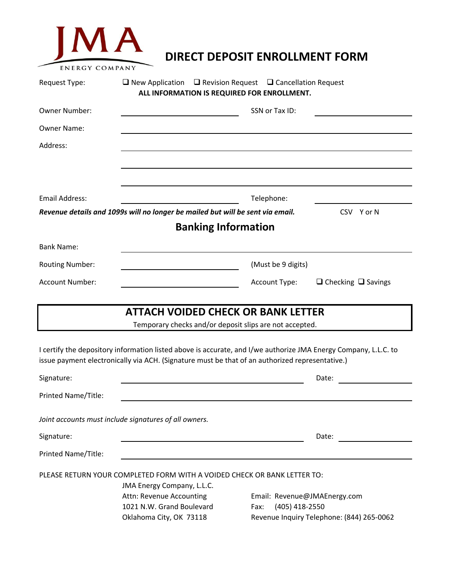| MA<br><b>ENERGY COMPANY</b> |                                                                                                                                                                                                                    | DIRECT DEPOSIT ENROLLMENT FORM |                                                                           |
|-----------------------------|--------------------------------------------------------------------------------------------------------------------------------------------------------------------------------------------------------------------|--------------------------------|---------------------------------------------------------------------------|
| Request Type:               | $\Box$ New Application $\Box$ Revision Request $\Box$ Cancellation Request<br>ALL INFORMATION IS REQUIRED FOR ENROLLMENT.                                                                                          |                                |                                                                           |
| <b>Owner Number:</b>        |                                                                                                                                                                                                                    | SSN or Tax ID:                 |                                                                           |
| <b>Owner Name:</b>          |                                                                                                                                                                                                                    |                                |                                                                           |
| Address:                    |                                                                                                                                                                                                                    |                                |                                                                           |
| <b>Fmail Address:</b>       |                                                                                                                                                                                                                    | Telephone:                     |                                                                           |
|                             | Revenue details and 1099s will no longer be mailed but will be sent via email.                                                                                                                                     |                                | CSV Yor N                                                                 |
|                             | <b>Banking Information</b>                                                                                                                                                                                         |                                |                                                                           |
| <b>Bank Name:</b>           |                                                                                                                                                                                                                    |                                |                                                                           |
| Routing Number:             |                                                                                                                                                                                                                    | (Must be 9 digits)             |                                                                           |
| Account Number:             |                                                                                                                                                                                                                    | Account Type:                  | $\Box$ Checking $\Box$ Savings                                            |
|                             | <b>ATTACH VOIDED CHECK OR BANK LETTER</b><br>Temporary checks and/or deposit slips are not accepted.                                                                                                               |                                |                                                                           |
|                             | I certify the depository information listed above is accurate, and I/we authorize JMA Energy Company, L.L.C. to<br>issue payment electronically via ACH. (Signature must be that of an authorized representative.) |                                |                                                                           |
| Signature:                  |                                                                                                                                                                                                                    |                                | Date:                                                                     |
| Printed Name/Title:         |                                                                                                                                                                                                                    |                                |                                                                           |
|                             | Joint accounts must include signatures of all owners.                                                                                                                                                              |                                |                                                                           |
| Signature:                  |                                                                                                                                                                                                                    |                                | Date:                                                                     |
| Printed Name/Title:         |                                                                                                                                                                                                                    |                                |                                                                           |
|                             | PLEASE RETURN YOUR COMPLETED FORM WITH A VOIDED CHECK OR BANK LETTER TO:<br>JMA Energy Company, L.L.C.<br>Attn: Revenue Accounting<br>1021 N.W. Grand Boulevard<br>Oklahoma City, OK 73118                         | (405) 418-2550<br>Fax:         | Email: Revenue@JMAEnergy.com<br>Revenue Inquiry Telephone: (844) 265-0062 |